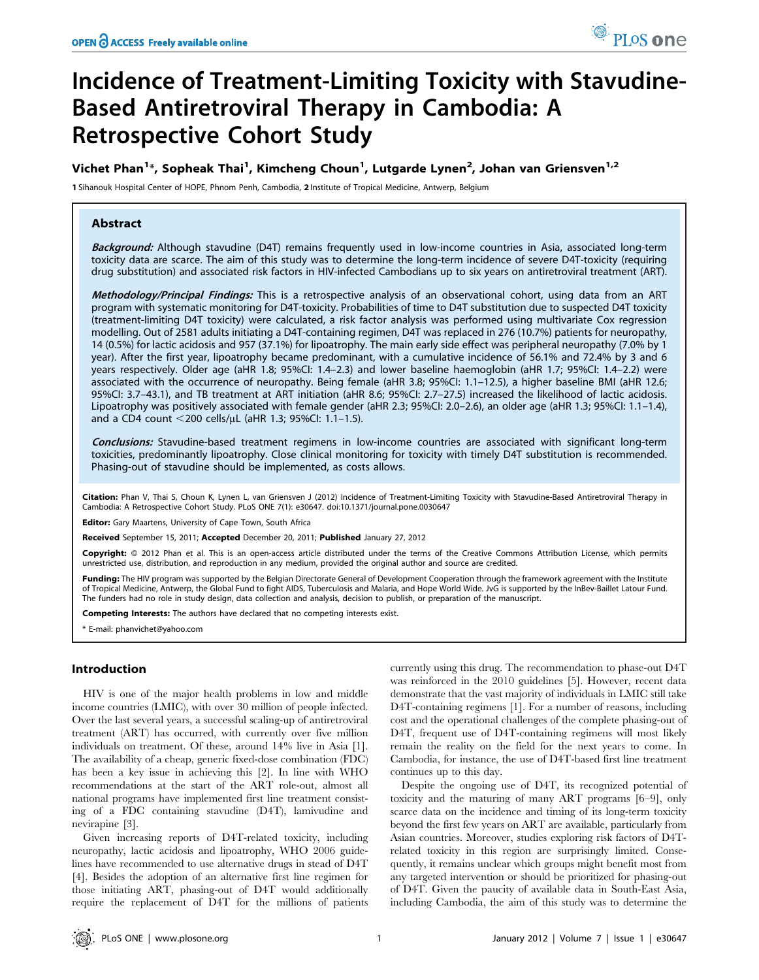# Incidence of Treatment-Limiting Toxicity with Stavudine-Based Antiretroviral Therapy in Cambodia: A Retrospective Cohort Study

# Vichet Phan $^{1*}$ , Sopheak Thai $^{1}$ , Kimcheng Choun $^{1}$ , Lutgarde Lynen $^{2}$ , Johan van Griensven $^{1,2}$

1 Sihanouk Hospital Center of HOPE, Phnom Penh, Cambodia, 2 Institute of Tropical Medicine, Antwerp, Belgium

# Abstract

Background: Although stavudine (D4T) remains frequently used in low-income countries in Asia, associated long-term toxicity data are scarce. The aim of this study was to determine the long-term incidence of severe D4T-toxicity (requiring drug substitution) and associated risk factors in HIV-infected Cambodians up to six years on antiretroviral treatment (ART).

Methodology/Principal Findings: This is a retrospective analysis of an observational cohort, using data from an ART program with systematic monitoring for D4T-toxicity. Probabilities of time to D4T substitution due to suspected D4T toxicity (treatment-limiting D4T toxicity) were calculated, a risk factor analysis was performed using multivariate Cox regression modelling. Out of 2581 adults initiating a D4T-containing regimen, D4T was replaced in 276 (10.7%) patients for neuropathy, 14 (0.5%) for lactic acidosis and 957 (37.1%) for lipoatrophy. The main early side effect was peripheral neuropathy (7.0% by 1 year). After the first year, lipoatrophy became predominant, with a cumulative incidence of 56.1% and 72.4% by 3 and 6 years respectively. Older age (aHR 1.8; 95%CI: 1.4–2.3) and lower baseline haemoglobin (aHR 1.7; 95%CI: 1.4–2.2) were associated with the occurrence of neuropathy. Being female (aHR 3.8; 95%CI: 1.1–12.5), a higher baseline BMI (aHR 12.6; 95%CI: 3.7–43.1), and TB treatment at ART initiation (aHR 8.6; 95%CI: 2.7–27.5) increased the likelihood of lactic acidosis. Lipoatrophy was positively associated with female gender (aHR 2.3; 95%CI: 2.0–2.6), an older age (aHR 1.3; 95%CI: 1.1–1.4), and a CD4 count  $<$ 200 cells/µL (aHR 1.3; 95%Cl: 1.1–1.5).

Conclusions: Stavudine-based treatment regimens in low-income countries are associated with significant long-term toxicities, predominantly lipoatrophy. Close clinical monitoring for toxicity with timely D4T substitution is recommended. Phasing-out of stavudine should be implemented, as costs allows.

Citation: Phan V, Thai S, Choun K, Lynen L, van Griensven J (2012) Incidence of Treatment-Limiting Toxicity with Stavudine-Based Antiretroviral Therapy in Cambodia: A Retrospective Cohort Study. PLoS ONE 7(1): e30647. doi:10.1371/journal.pone.0030647

**Editor:** Gary Maartens, University of Cape Town, South Africa

Received September 15, 2011; Accepted December 20, 2011; Published January 27, 2012

Copyright: © 2012 Phan et al. This is an open-access article distributed under the terms of the Creative Commons Attribution License, which permits unrestricted use, distribution, and reproduction in any medium, provided the original author and source are credited.

Funding: The HIV program was supported by the Belgian Directorate General of Development Cooperation through the framework agreement with the Institute of Tropical Medicine, Antwerp, the Global Fund to fight AIDS, Tuberculosis and Malaria, and Hope World Wide. JvG is supported by the InBev-Baillet Latour Fund. The funders had no role in study design, data collection and analysis, decision to publish, or preparation of the manuscript.

Competing Interests: The authors have declared that no competing interests exist.

\* E-mail: phanvichet@yahoo.com

## Introduction

HIV is one of the major health problems in low and middle income countries (LMIC), with over 30 million of people infected. Over the last several years, a successful scaling-up of antiretroviral treatment (ART) has occurred, with currently over five million individuals on treatment. Of these, around 14% live in Asia [1]. The availability of a cheap, generic fixed-dose combination (FDC) has been a key issue in achieving this [2]. In line with WHO recommendations at the start of the ART role-out, almost all national programs have implemented first line treatment consisting of a FDC containing stavudine (D4T), lamivudine and nevirapine [3].

Given increasing reports of D4T-related toxicity, including neuropathy, lactic acidosis and lipoatrophy, WHO 2006 guidelines have recommended to use alternative drugs in stead of D4T [4]. Besides the adoption of an alternative first line regimen for those initiating ART, phasing-out of D4T would additionally require the replacement of D4T for the millions of patients currently using this drug. The recommendation to phase-out D4T was reinforced in the 2010 guidelines [5]. However, recent data demonstrate that the vast majority of individuals in LMIC still take D4T-containing regimens [1]. For a number of reasons, including cost and the operational challenges of the complete phasing-out of D4T, frequent use of D4T-containing regimens will most likely remain the reality on the field for the next years to come. In Cambodia, for instance, the use of D4T-based first line treatment continues up to this day.

Despite the ongoing use of D4T, its recognized potential of toxicity and the maturing of many ART programs [6–9], only scarce data on the incidence and timing of its long-term toxicity beyond the first few years on ART are available, particularly from Asian countries. Moreover, studies exploring risk factors of D4Trelated toxicity in this region are surprisingly limited. Consequently, it remains unclear which groups might benefit most from any targeted intervention or should be prioritized for phasing-out of D4T. Given the paucity of available data in South-East Asia, including Cambodia, the aim of this study was to determine the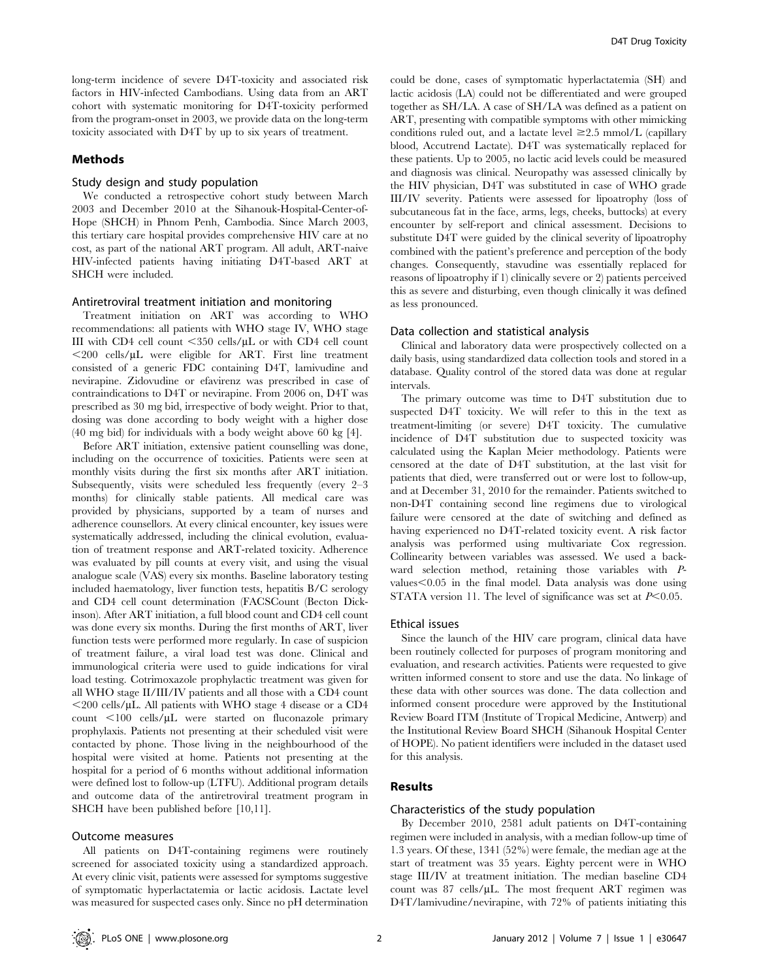long-term incidence of severe D4T-toxicity and associated risk factors in HIV-infected Cambodians. Using data from an ART cohort with systematic monitoring for D4T-toxicity performed from the program-onset in 2003, we provide data on the long-term toxicity associated with D4T by up to six years of treatment.

## Methods

# Study design and study population

We conducted a retrospective cohort study between March 2003 and December 2010 at the Sihanouk-Hospital-Center-of-Hope (SHCH) in Phnom Penh, Cambodia. Since March 2003, this tertiary care hospital provides comprehensive HIV care at no cost, as part of the national ART program. All adult, ART-naive HIV-infected patients having initiating D4T-based ART at SHCH were included.

#### Antiretroviral treatment initiation and monitoring

Treatment initiation on ART was according to WHO recommendations: all patients with WHO stage IV, WHO stage III with CD4 cell count  $\langle 350 \text{ cells/}\mu\text{L}$  or with CD4 cell count  $\langle 200 \text{ cells/}\mu L \rangle$  were eligible for ART. First line treatment consisted of a generic FDC containing D4T, lamivudine and nevirapine. Zidovudine or efavirenz was prescribed in case of contraindications to D4T or nevirapine. From 2006 on, D4T was prescribed as 30 mg bid, irrespective of body weight. Prior to that, dosing was done according to body weight with a higher dose (40 mg bid) for individuals with a body weight above 60 kg [4].

Before ART initiation, extensive patient counselling was done, including on the occurrence of toxicities. Patients were seen at monthly visits during the first six months after ART initiation. Subsequently, visits were scheduled less frequently (every 2–3 months) for clinically stable patients. All medical care was provided by physicians, supported by a team of nurses and adherence counsellors. At every clinical encounter, key issues were systematically addressed, including the clinical evolution, evaluation of treatment response and ART-related toxicity. Adherence was evaluated by pill counts at every visit, and using the visual analogue scale (VAS) every six months. Baseline laboratory testing included haematology, liver function tests, hepatitis B/C serology and CD4 cell count determination (FACSCount (Becton Dickinson). After ART initiation, a full blood count and CD4 cell count was done every six months. During the first months of ART, liver function tests were performed more regularly. In case of suspicion of treatment failure, a viral load test was done. Clinical and immunological criteria were used to guide indications for viral load testing. Cotrimoxazole prophylactic treatment was given for all WHO stage II/III/IV patients and all those with a CD4 count  $\langle 200 \text{ cells/µL}$ . All patients with WHO stage 4 disease or a CD4 count  $\langle 100 \text{ cells/}\mu\text{L}$  were started on fluconazole primary prophylaxis. Patients not presenting at their scheduled visit were contacted by phone. Those living in the neighbourhood of the hospital were visited at home. Patients not presenting at the hospital for a period of 6 months without additional information were defined lost to follow-up (LTFU). Additional program details and outcome data of the antiretroviral treatment program in SHCH have been published before [10,11].

# Outcome measures

All patients on D4T-containing regimens were routinely screened for associated toxicity using a standardized approach. At every clinic visit, patients were assessed for symptoms suggestive of symptomatic hyperlactatemia or lactic acidosis. Lactate level was measured for suspected cases only. Since no pH determination could be done, cases of symptomatic hyperlactatemia (SH) and lactic acidosis (LA) could not be differentiated and were grouped together as SH/LA. A case of SH/LA was defined as a patient on ART, presenting with compatible symptoms with other mimicking conditions ruled out, and a lactate level  $\geq 2.5$  mmol/L (capillary blood, Accutrend Lactate). D4T was systematically replaced for these patients. Up to 2005, no lactic acid levels could be measured and diagnosis was clinical. Neuropathy was assessed clinically by the HIV physician, D4T was substituted in case of WHO grade III/IV severity. Patients were assessed for lipoatrophy (loss of subcutaneous fat in the face, arms, legs, cheeks, buttocks) at every encounter by self-report and clinical assessment. Decisions to substitute D4T were guided by the clinical severity of lipoatrophy combined with the patient's preference and perception of the body changes. Consequently, stavudine was essentially replaced for reasons of lipoatrophy if 1) clinically severe or 2) patients perceived this as severe and disturbing, even though clinically it was defined as less pronounced.

#### Data collection and statistical analysis

Clinical and laboratory data were prospectively collected on a daily basis, using standardized data collection tools and stored in a database. Quality control of the stored data was done at regular intervals.

The primary outcome was time to D4T substitution due to suspected D4T toxicity. We will refer to this in the text as treatment-limiting (or severe) D4T toxicity. The cumulative incidence of D4T substitution due to suspected toxicity was calculated using the Kaplan Meier methodology. Patients were censored at the date of D4T substitution, at the last visit for patients that died, were transferred out or were lost to follow-up, and at December 31, 2010 for the remainder. Patients switched to non-D4T containing second line regimens due to virological failure were censored at the date of switching and defined as having experienced no D4T-related toxicity event. A risk factor analysis was performed using multivariate Cox regression. Collinearity between variables was assessed. We used a backward selection method, retaining those variables with Pvalues $< 0.05$  in the final model. Data analysis was done using STATA version 11. The level of significance was set at  $P<0.05$ .

#### Ethical issues

Since the launch of the HIV care program, clinical data have been routinely collected for purposes of program monitoring and evaluation, and research activities. Patients were requested to give written informed consent to store and use the data. No linkage of these data with other sources was done. The data collection and informed consent procedure were approved by the Institutional Review Board ITM (Institute of Tropical Medicine, Antwerp) and the Institutional Review Board SHCH (Sihanouk Hospital Center of HOPE). No patient identifiers were included in the dataset used for this analysis.

# Results

# Characteristics of the study population

By December 2010, 2581 adult patients on D4T-containing regimen were included in analysis, with a median follow-up time of 1.3 years. Of these, 1341 (52%) were female, the median age at the start of treatment was 35 years. Eighty percent were in WHO stage III/IV at treatment initiation. The median baseline CD4 count was  $87 \text{ cells/}\mu\text{L}$ . The most frequent ART regimen was D4T/lamivudine/nevirapine, with 72% of patients initiating this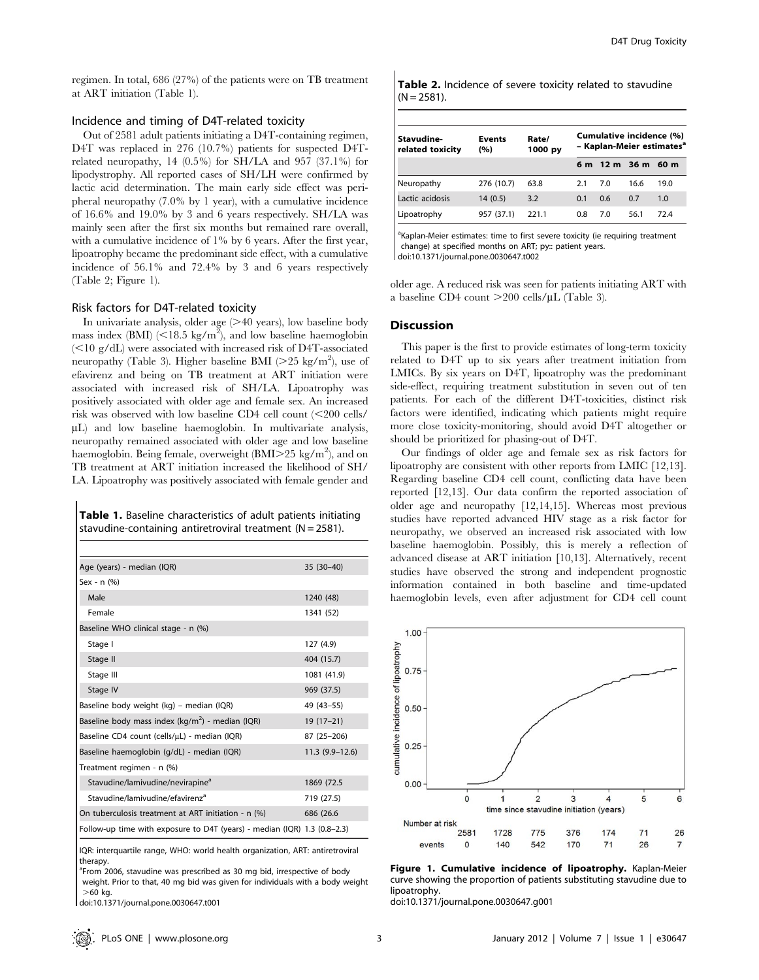regimen. In total, 686 (27%) of the patients were on TB treatment at ART initiation (Table 1).

# Incidence and timing of D4T-related toxicity

Out of 2581 adult patients initiating a D4T-containing regimen, D4T was replaced in 276 (10.7%) patients for suspected D4Trelated neuropathy, 14 (0.5%) for SH/LA and 957 (37.1%) for lipodystrophy. All reported cases of SH/LH were confirmed by lactic acid determination. The main early side effect was peripheral neuropathy (7.0% by 1 year), with a cumulative incidence of 16.6% and 19.0% by 3 and 6 years respectively. SH/LA was mainly seen after the first six months but remained rare overall, with a cumulative incidence of 1% by 6 years. After the first year, lipoatrophy became the predominant side effect, with a cumulative incidence of 56.1% and 72.4% by 3 and 6 years respectively (Table 2; Figure 1).

## Risk factors for D4T-related toxicity

In univariate analysis, older age  $(>= 40$  years), low baseline body mass index (BMI) ( $\leq$ 18.5 kg/m<sup>2</sup>), and low baseline haemoglobin  $\leq$ 10 g/dL) were associated with increased risk of D4T-associated neuropathy (Table 3). Higher baseline BMI ( $>$ 25 kg/m<sup>2</sup>), use of efavirenz and being on TB treatment at ART initiation were associated with increased risk of SH/LA. Lipoatrophy was positively associated with older age and female sex. An increased risk was observed with low baseline CD4 cell count  $\langle$  <200 cells/  $\mu$ L) and low baseline haemoglobin. In multivariate analysis, neuropathy remained associated with older age and low baseline haemoglobin. Being female, overweight (BMI $>$ 25 kg/m<sup>2</sup>), and on TB treatment at ART initiation increased the likelihood of SH/ LA. Lipoatrophy was positively associated with female gender and

Table 1. Baseline characteristics of adult patients initiating stavudine-containing antiretroviral treatment ( $N = 2581$ ).

| Age (years) - median (IQR)                                               | 35 (30-40)       |
|--------------------------------------------------------------------------|------------------|
| Sex - $n$ $(% )$                                                         |                  |
| Male                                                                     | 1240 (48)        |
| Female                                                                   | 1341 (52)        |
| Baseline WHO clinical stage - n (%)                                      |                  |
| Stage I                                                                  | 127 (4.9)        |
| Stage II                                                                 | 404 (15.7)       |
| Stage III                                                                | 1081 (41.9)      |
| Stage IV                                                                 | 969 (37.5)       |
| Baseline body weight (kg) – median (IQR)                                 | 49 (43-55)       |
| Baseline body mass index (kg/m <sup>2</sup> ) - median (IQR)             | $19(17-21)$      |
| Baseline CD4 count (cells/µL) - median (IQR)                             | 87 (25-206)      |
| Baseline haemoglobin (g/dL) - median (IQR)                               | $11.3(9.9-12.6)$ |
| Treatment regimen - n (%)                                                |                  |
| Stavudine/lamivudine/nevirapine <sup>a</sup>                             | 1869 (72.5       |
| Stavudine/lamivudine/efavirenz <sup>a</sup>                              | 719 (27.5)       |
| On tuberculosis treatment at ART initiation - n (%)                      | 686 (26.6)       |
| Follow-up time with exposure to D4T (years) - median (IQR) 1.3 (0.8–2.3) |                  |
|                                                                          |                  |

IQR: interquartile range, WHO: world health organization, ART: antiretroviral therapy.

<sup>a</sup>From 2006, stavudine was prescribed as 30 mg bid, irrespective of body weight. Prior to that, 40 mg bid was given for individuals with a body weight  $>60$  kg.

doi:10.1371/journal.pone.0030647.t001

Table 2. Incidence of severe toxicity related to stavudine  $(N = 2581)$ .

| Stavudine-<br>related toxicity | <b>Events</b><br>(%) | Rate/<br>1000 py | Cumulative incidence (%)<br>- Kaplan-Meier estimates <sup>a</sup> |     |                    |      |
|--------------------------------|----------------------|------------------|-------------------------------------------------------------------|-----|--------------------|------|
|                                |                      |                  |                                                                   |     | 6 m 12 m 36 m 60 m |      |
| Neuropathy                     | 276 (10.7)           | 63.8             | 2.1                                                               | 7.0 | 16.6               | 19.0 |
| Lactic acidosis                | 14(0.5)              | 3.2              | 0.1                                                               | 0.6 | 0.7                | 1.0  |
| Lipoatrophy                    | 957 (37.1)           | 221.1            | 0.8                                                               | 7.0 | 56.1               | 724  |

<sup>a</sup>Kaplan-Meier estimates: time to first severe toxicity (ie requiring treatment change) at specified months on ART; py:: patient years. doi:10.1371/journal.pone.0030647.t002

older age. A reduced risk was seen for patients initiating ART with a baseline CD4 count  $>$ 200 cells/ $\mu$ L (Table 3).

#### **Discussion**

This paper is the first to provide estimates of long-term toxicity related to D4T up to six years after treatment initiation from LMICs. By six years on D4T, lipoatrophy was the predominant side-effect, requiring treatment substitution in seven out of ten patients. For each of the different D4T-toxicities, distinct risk factors were identified, indicating which patients might require more close toxicity-monitoring, should avoid D4T altogether or should be prioritized for phasing-out of D4T.

Our findings of older age and female sex as risk factors for lipoatrophy are consistent with other reports from LMIC [12,13]. Regarding baseline CD4 cell count, conflicting data have been reported [12,13]. Our data confirm the reported association of older age and neuropathy [12,14,15]. Whereas most previous studies have reported advanced HIV stage as a risk factor for neuropathy, we observed an increased risk associated with low baseline haemoglobin. Possibly, this is merely a reflection of advanced disease at ART initiation [10,13]. Alternatively, recent studies have observed the strong and independent prognostic information contained in both baseline and time-updated haemoglobin levels, even after adjustment for CD4 cell count



Figure 1. Cumulative incidence of lipoatrophy. Kaplan-Meier curve showing the proportion of patients substituting stavudine due to lipoatrophy.

doi:10.1371/journal.pone.0030647.g001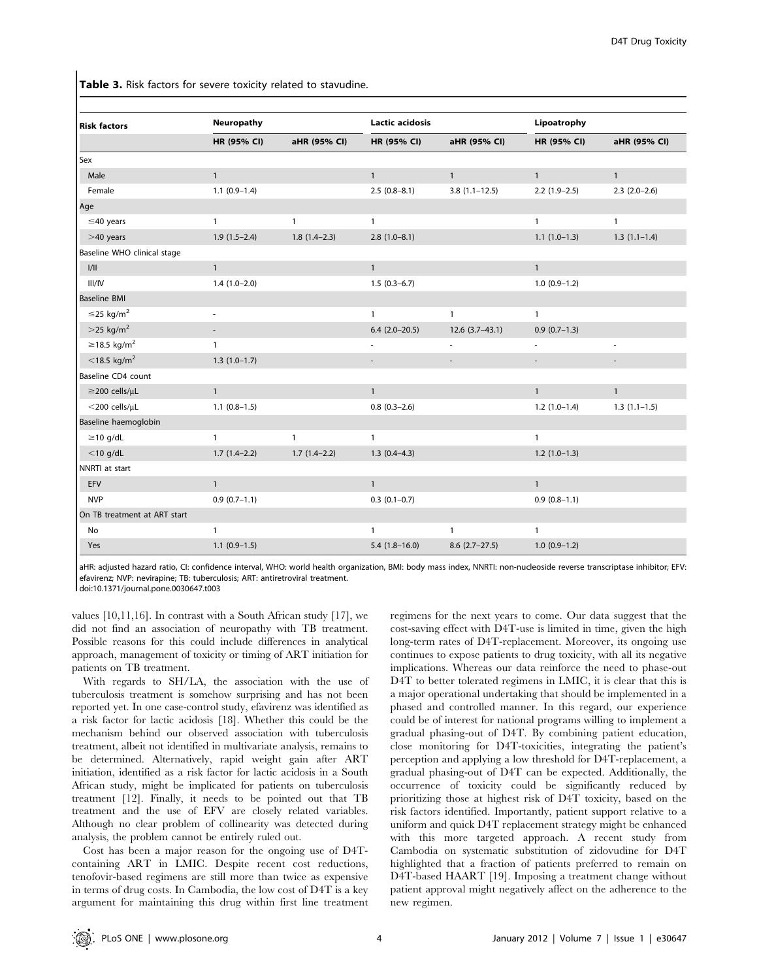Table 3. Risk factors for severe toxicity related to stavudine.

| <b>Risk factors</b>           | Neuropathy               |                | <b>Lactic acidosis</b>   |                  | Lipoatrophy              |                |  |  |  |
|-------------------------------|--------------------------|----------------|--------------------------|------------------|--------------------------|----------------|--|--|--|
|                               | HR (95% CI)              | aHR (95% CI)   | HR (95% CI)              | aHR (95% CI)     | HR (95% CI)              | aHR (95% CI)   |  |  |  |
| Sex                           |                          |                |                          |                  |                          |                |  |  |  |
| Male                          | $\mathbf{1}$             |                | $\mathbf{1}$             | $\mathbf{1}$     | $\mathbf{1}$             | $\mathbf{1}$   |  |  |  |
| Female                        | $1.1(0.9-1.4)$           |                | $2.5(0.8-8.1)$           | $3.8(1.1-12.5)$  | $2.2(1.9-2.5)$           | $2.3(2.0-2.6)$ |  |  |  |
| Age                           |                          |                |                          |                  |                          |                |  |  |  |
| $\leq$ 40 years               | $\mathbf{1}$             | $\mathbf{1}$   | $\mathbf{1}$             |                  | $\mathbf{1}$             | $\mathbf{1}$   |  |  |  |
| $>40$ years                   | $1.9(1.5-2.4)$           | $1.8(1.4-2.3)$ | $2.8(1.0-8.1)$           |                  | $1.1(1.0-1.3)$           | $1.3(1.1-1.4)$ |  |  |  |
| Baseline WHO clinical stage   |                          |                |                          |                  |                          |                |  |  |  |
| 1/11                          | $\mathbf{1}$             |                | $\mathbf{1}$             |                  | $\mathbf{1}$             |                |  |  |  |
| III/IV                        | $1.4(1.0-2.0)$           |                | $1.5(0.3-6.7)$           |                  | $1.0(0.9-1.2)$           |                |  |  |  |
| <b>Baseline BMI</b>           |                          |                |                          |                  |                          |                |  |  |  |
| $\leq$ 25 kg/m <sup>2</sup>   | $\overline{\phantom{a}}$ |                | $\mathbf{1}$             | $\mathbf{1}$     | $\mathbf{1}$             |                |  |  |  |
| $>$ 25 kg/m <sup>2</sup>      |                          |                | $6.4(2.0-20.5)$          | $12.6(3.7-43.1)$ | $0.9(0.7-1.3)$           |                |  |  |  |
| $\geq$ 18.5 kg/m <sup>2</sup> | $\mathbf{1}$             |                | $\overline{\phantom{a}}$ |                  | $\overline{\phantom{a}}$ |                |  |  |  |
| $<$ 18.5 kg/m <sup>2</sup>    | $1.3(1.0-1.7)$           |                | $\overline{\phantom{a}}$ |                  | $\overline{\phantom{a}}$ |                |  |  |  |
| Baseline CD4 count            |                          |                |                          |                  |                          |                |  |  |  |
| $\geq$ 200 cells/µL           | $\mathbf{1}$             |                | $\mathbf{1}$             |                  | $\mathbf{1}$             | $\mathbf{1}$   |  |  |  |
| $<$ 200 cells/ $\mu$ L        | $1.1(0.8-1.5)$           |                | $0.8$ $(0.3-2.6)$        |                  | $1.2(1.0-1.4)$           | $1.3(1.1-1.5)$ |  |  |  |
| Baseline haemoglobin          |                          |                |                          |                  |                          |                |  |  |  |
| $\geq$ 10 g/dL                | $\mathbf{1}$             | $\mathbf{1}$   | $\mathbf{1}$             |                  | $\mathbf{1}$             |                |  |  |  |
| $<$ 10 g/dL                   | $1.7(1.4-2.2)$           | $1.7(1.4-2.2)$ | $1.3(0.4-4.3)$           |                  | $1.2(1.0-1.3)$           |                |  |  |  |
| NNRTI at start                |                          |                |                          |                  |                          |                |  |  |  |
| EFV                           | $\mathbf{1}$             |                | $\mathbf{1}$             |                  | $\mathbf{1}$             |                |  |  |  |
| <b>NVP</b>                    | $0.9(0.7-1.1)$           |                | $0.3(0.1-0.7)$           |                  | $0.9(0.8-1.1)$           |                |  |  |  |
| On TB treatment at ART start  |                          |                |                          |                  |                          |                |  |  |  |
| No                            | $\mathbf{1}$             |                | $\mathbf{1}$             | $\mathbf{1}$     | $\mathbf{1}$             |                |  |  |  |
| Yes                           | $1.1(0.9-1.5)$           |                | $5.4(1.8-16.0)$          | $8.6$ (2.7-27.5) | $1.0(0.9-1.2)$           |                |  |  |  |

aHR: adjusted hazard ratio, CI: confidence interval, WHO: world health organization, BMI: body mass index, NNRTI: non-nucleoside reverse transcriptase inhibitor; EFV: efavirenz; NVP: nevirapine; TB: tuberculosis; ART: antiretroviral treatment.

doi:10.1371/journal.pone.0030647.t003

values [10,11,16]. In contrast with a South African study [17], we did not find an association of neuropathy with TB treatment. Possible reasons for this could include differences in analytical approach, management of toxicity or timing of ART initiation for patients on TB treatment.

With regards to SH/LA, the association with the use of tuberculosis treatment is somehow surprising and has not been reported yet. In one case-control study, efavirenz was identified as a risk factor for lactic acidosis [18]. Whether this could be the mechanism behind our observed association with tuberculosis treatment, albeit not identified in multivariate analysis, remains to be determined. Alternatively, rapid weight gain after ART initiation, identified as a risk factor for lactic acidosis in a South African study, might be implicated for patients on tuberculosis treatment [12]. Finally, it needs to be pointed out that TB treatment and the use of EFV are closely related variables. Although no clear problem of collinearity was detected during analysis, the problem cannot be entirely ruled out.

Cost has been a major reason for the ongoing use of D4Tcontaining ART in LMIC. Despite recent cost reductions, tenofovir-based regimens are still more than twice as expensive in terms of drug costs. In Cambodia, the low cost of D4T is a key argument for maintaining this drug within first line treatment regimens for the next years to come. Our data suggest that the cost-saving effect with D4T-use is limited in time, given the high long-term rates of D4T-replacement. Moreover, its ongoing use continues to expose patients to drug toxicity, with all its negative implications. Whereas our data reinforce the need to phase-out D4T to better tolerated regimens in LMIC, it is clear that this is a major operational undertaking that should be implemented in a phased and controlled manner. In this regard, our experience could be of interest for national programs willing to implement a gradual phasing-out of D4T. By combining patient education, close monitoring for D4T-toxicities, integrating the patient's perception and applying a low threshold for D4T-replacement, a gradual phasing-out of D4T can be expected. Additionally, the occurrence of toxicity could be significantly reduced by prioritizing those at highest risk of D4T toxicity, based on the risk factors identified. Importantly, patient support relative to a uniform and quick D4T replacement strategy might be enhanced with this more targeted approach. A recent study from Cambodia on systematic substitution of zidovudine for D4T highlighted that a fraction of patients preferred to remain on D4T-based HAART [19]. Imposing a treatment change without patient approval might negatively affect on the adherence to the new regimen.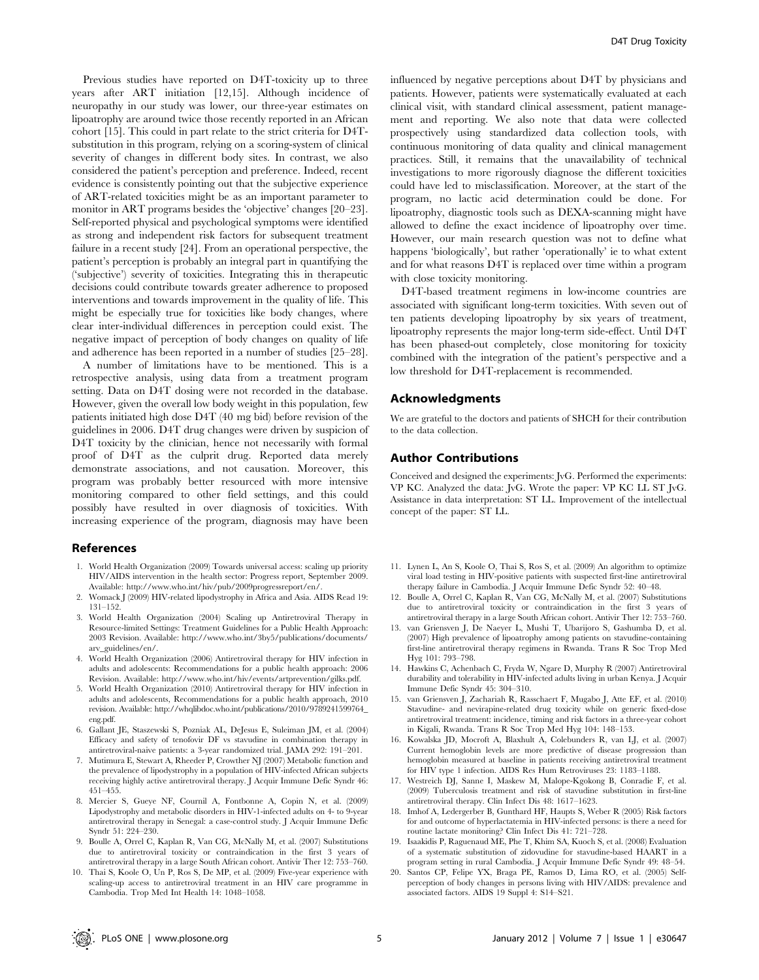Previous studies have reported on D4T-toxicity up to three years after ART initiation [12,15]. Although incidence of neuropathy in our study was lower, our three-year estimates on lipoatrophy are around twice those recently reported in an African cohort [15]. This could in part relate to the strict criteria for D4Tsubstitution in this program, relying on a scoring-system of clinical severity of changes in different body sites. In contrast, we also considered the patient's perception and preference. Indeed, recent evidence is consistently pointing out that the subjective experience of ART-related toxicities might be as an important parameter to monitor in ART programs besides the 'objective' changes [20–23]. Self-reported physical and psychological symptoms were identified as strong and independent risk factors for subsequent treatment failure in a recent study [24]. From an operational perspective, the patient's perception is probably an integral part in quantifying the ('subjective') severity of toxicities. Integrating this in therapeutic decisions could contribute towards greater adherence to proposed interventions and towards improvement in the quality of life. This might be especially true for toxicities like body changes, where clear inter-individual differences in perception could exist. The negative impact of perception of body changes on quality of life and adherence has been reported in a number of studies [25–28].

A number of limitations have to be mentioned. This is a retrospective analysis, using data from a treatment program setting. Data on D4T dosing were not recorded in the database. However, given the overall low body weight in this population, few patients initiated high dose D4T (40 mg bid) before revision of the guidelines in 2006. D4T drug changes were driven by suspicion of D4T toxicity by the clinician, hence not necessarily with formal proof of D4T as the culprit drug. Reported data merely demonstrate associations, and not causation. Moreover, this program was probably better resourced with more intensive monitoring compared to other field settings, and this could possibly have resulted in over diagnosis of toxicities. With increasing experience of the program, diagnosis may have been

# References

- 1. World Health Organization (2009) Towards universal access: scaling up priority HIV/AIDS intervention in the health sector: Progress report, September 2009. Available: http://www.who.int/hiv/pub/2009progressreport/en/.
- 2. Womack J (2009) HIV-related lipodystrophy in Africa and Asia. AIDS Read 19: 131–152.
- 3. World Health Organization (2004) Scaling up Antiretroviral Therapy in Resource-limited Settings: Treatment Guidelines for a Public Health Approach: 2003 Revision. Available: http://www.who.int/3by5/publications/documents/ arv\_guidelines/en/.
- 4. World Health Organization (2006) Antiretroviral therapy for HIV infection in adults and adolescents: Recommendations for a public health approach: 2006 Revision. Available: http://www.who.int/hiv/events/artprevention/gilks.pdf.
- 5. World Health Organization (2010) Antiretroviral therapy for HIV infection in adults and adolescents, Recommendations for a public health approach, 2010 revision. Available: http://whqlibdoc.who.int/publications/2010/9789241599764\_ eng.pdf.
- 6. Gallant JE, Staszewski S, Pozniak AL, DeJesus E, Suleiman JM, et al. (2004) Efficacy and safety of tenofovir DF vs stavudine in combination therapy in antiretroviral-naive patients: a 3-year randomized trial. JAMA 292: 191–201.
- 7. Mutimura E, Stewart A, Rheeder P, Crowther NJ (2007) Metabolic function and the prevalence of lipodystrophy in a population of HIV-infected African subjects receiving highly active antiretroviral therapy. J Acquir Immune Defic Syndr 46: 451–455.
- 8. Mercier S, Gueye NF, Cournil A, Fontbonne A, Copin N, et al. (2009) Lipodystrophy and metabolic disorders in HIV-1-infected adults on 4- to 9-year antiretroviral therapy in Senegal: a case-control study. J Acquir Immune Defic Syndr 51: 224–230.
- 9. Boulle A, Orrel C, Kaplan R, Van CG, McNally M, et al. (2007) Substitutions due to antiretroviral toxicity or contraindication in the first 3 years of antiretroviral therapy in a large South African cohort. Antivir Ther 12: 753–760.
- 10. Thai S, Koole O, Un P, Ros S, De MP, et al. (2009) Five-year experience with scaling-up access to antiretroviral treatment in an HIV care programme in Cambodia. Trop Med Int Health 14: 1048–1058.

influenced by negative perceptions about D4T by physicians and patients. However, patients were systematically evaluated at each clinical visit, with standard clinical assessment, patient management and reporting. We also note that data were collected prospectively using standardized data collection tools, with continuous monitoring of data quality and clinical management practices. Still, it remains that the unavailability of technical investigations to more rigorously diagnose the different toxicities could have led to misclassification. Moreover, at the start of the program, no lactic acid determination could be done. For lipoatrophy, diagnostic tools such as DEXA-scanning might have allowed to define the exact incidence of lipoatrophy over time. However, our main research question was not to define what happens 'biologically', but rather 'operationally' ie to what extent and for what reasons D4T is replaced over time within a program with close toxicity monitoring.

D4T-based treatment regimens in low-income countries are associated with significant long-term toxicities. With seven out of ten patients developing lipoatrophy by six years of treatment, lipoatrophy represents the major long-term side-effect. Until D4T has been phased-out completely, close monitoring for toxicity combined with the integration of the patient's perspective and a low threshold for D4T-replacement is recommended.

# Acknowledgments

We are grateful to the doctors and patients of SHCH for their contribution to the data collection.

# Author Contributions

Conceived and designed the experiments: JvG. Performed the experiments: VP KC. Analyzed the data: JvG. Wrote the paper: VP KC LL ST JvG. Assistance in data interpretation: ST LL. Improvement of the intellectual concept of the paper: ST LL.

- 11. Lynen L, An S, Koole O, Thai S, Ros S, et al. (2009) An algorithm to optimize viral load testing in HIV-positive patients with suspected first-line antiretroviral therapy failure in Cambodia. J Acquir Immune Defic Syndr 52: 40–48.
- 12. Boulle A, Orrel C, Kaplan R, Van CG, McNally M, et al. (2007) Substitutions due to antiretroviral toxicity or contraindication in the first 3 years of antiretroviral therapy in a large South African cohort. Antivir Ther 12: 753–760.
- 13. van Griensven J, De Naeyer L, Mushi T, Ubarijoro S, Gashumba D, et al. (2007) High prevalence of lipoatrophy among patients on stavudine-containing first-line antiretroviral therapy regimens in Rwanda. Trans R Soc Trop Med Hyg 101: 793–798.
- 14. Hawkins C, Achenbach C, Fryda W, Ngare D, Murphy R (2007) Antiretroviral durability and tolerability in HIV-infected adults living in urban Kenya. J Acquir Immune Defic Syndr 45: 304–310.
- 15. van Griensven J, Zachariah R, Rasschaert F, Mugabo J, Atte EF, et al. (2010) Stavudine- and nevirapine-related drug toxicity while on generic fixed-dose antiretroviral treatment: incidence, timing and risk factors in a three-year cohort in Kigali, Rwanda. Trans R Soc Trop Med Hyg 104: 148–153.
- 16. Kowalska JD, Mocroft A, Blaxhult A, Colebunders R, van LJ, et al. (2007) Current hemoglobin levels are more predictive of disease progression than hemoglobin measured at baseline in patients receiving antiretroviral treatment for HIV type 1 infection. AIDS Res Hum Retroviruses 23: 1183–1188.
- 17. Westreich DJ, Sanne I, Maskew M, Malope-Kgokong B, Conradie F, et al. (2009) Tuberculosis treatment and risk of stavudine substitution in first-line antiretroviral therapy. Clin Infect Dis 48: 1617–1623.
- 18. Imhof A, Ledergerber B, Gunthard HF, Haupts S, Weber R (2005) Risk factors for and outcome of hyperlactatemia in HIV-infected persons: is there a need for routine lactate monitoring? Clin Infect Dis 41: 721–728.
- 19. Isaakidis P, Raguenaud ME, Phe T, Khim SA, Kuoch S, et al. (2008) Evaluation of a systematic substitution of zidovudine for stavudine-based HAART in a program setting in rural Cambodia. J Acquir Immune Defic Syndr 49: 48–54.
- 20. Santos CP, Felipe YX, Braga PE, Ramos D, Lima RO, et al. (2005) Selfperception of body changes in persons living with HIV/AIDS: prevalence and associated factors. AIDS 19 Suppl 4: S14–S21.